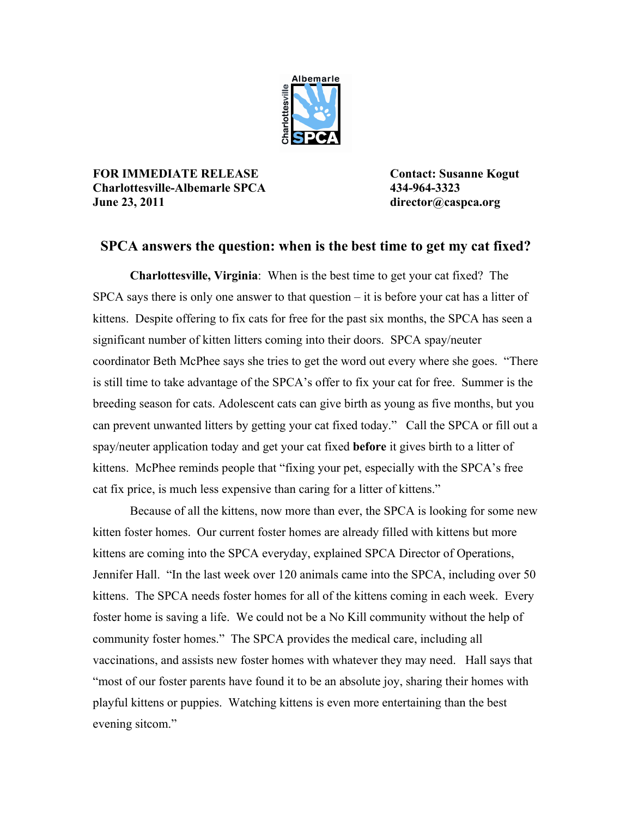

**FOR IMMEDIATE RELEASE Contact: Susanne Kogut Charlottesville-Albemarle SPCA 434-964-3323 June 23, 2011 director@caspca.org**

## **SPCA answers the question: when is the best time to get my cat fixed?**

**Charlottesville, Virginia**: When is the best time to get your cat fixed? The SPCA says there is only one answer to that question – it is before your cat has a litter of kittens. Despite offering to fix cats for free for the past six months, the SPCA has seen a significant number of kitten litters coming into their doors. SPCA spay/neuter coordinator Beth McPhee says she tries to get the word out every where she goes. "There is still time to take advantage of the SPCA's offer to fix your cat for free. Summer is the breeding season for cats. Adolescent cats can give birth as young as five months, but you can prevent unwanted litters by getting your cat fixed today." Call the SPCA or fill out a spay/neuter application today and get your cat fixed **before** it gives birth to a litter of kittens. McPhee reminds people that "fixing your pet, especially with the SPCA's free cat fix price, is much less expensive than caring for a litter of kittens."

Because of all the kittens, now more than ever, the SPCA is looking for some new kitten foster homes. Our current foster homes are already filled with kittens but more kittens are coming into the SPCA everyday, explained SPCA Director of Operations, Jennifer Hall. "In the last week over 120 animals came into the SPCA, including over 50 kittens. The SPCA needs foster homes for all of the kittens coming in each week. Every foster home is saving a life. We could not be a No Kill community without the help of community foster homes." The SPCA provides the medical care, including all vaccinations, and assists new foster homes with whatever they may need. Hall says that "most of our foster parents have found it to be an absolute joy, sharing their homes with playful kittens or puppies. Watching kittens is even more entertaining than the best evening sitcom."